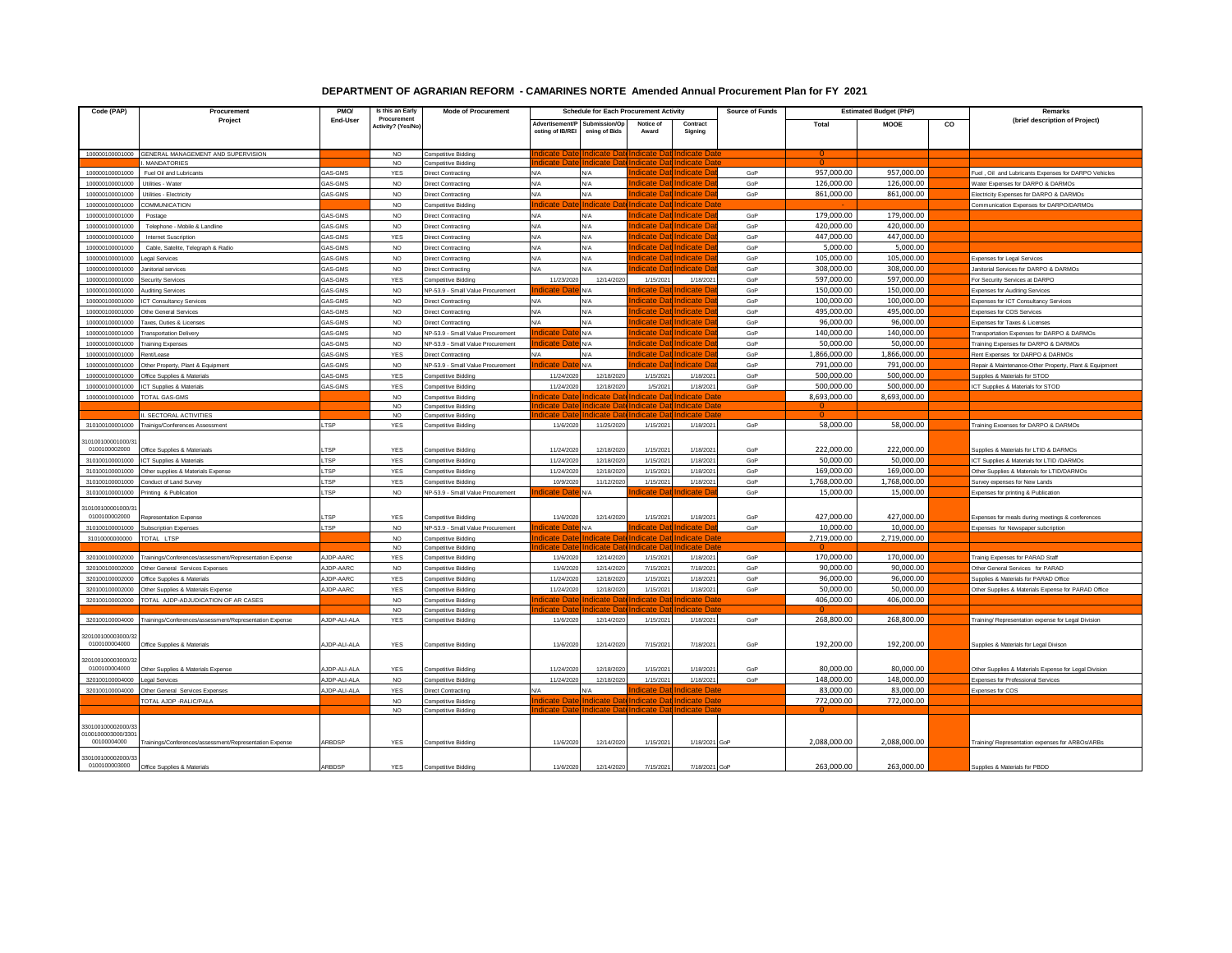## **DEPARTMENT OF AGRARIAN REFORM - CAMARINES NORTE Amended Annual Procurement Plan for FY 2021**

| Code (PAP)                          | Procuremen                                                                | PMO/               | Is this an Early   | <b>Mode of Procurement</b>                             | <b>Schedule for Each Procurement Activity</b> |                          |                        |                                  | <b>Source of Funds</b> | <b>Estimated Budget (PhP)</b> |                          |    | Remarks                                                |
|-------------------------------------|---------------------------------------------------------------------------|--------------------|--------------------|--------------------------------------------------------|-----------------------------------------------|--------------------------|------------------------|----------------------------------|------------------------|-------------------------------|--------------------------|----|--------------------------------------------------------|
|                                     | Project                                                                   | End-User           | Procurement        |                                                        | Advertisement/I                               | ubmission/Op             | Notice of              | Contract                         |                        | <b>Total</b>                  | <b>MOOE</b>              | CO | (brief description of Project)                         |
|                                     |                                                                           |                    | Activity? (Yes/No) |                                                        | osting of IB/REI                              | ening of Bids            | Award                  | Signing                          |                        |                               |                          |    |                                                        |
|                                     |                                                                           |                    |                    |                                                        |                                               |                          |                        |                                  |                        |                               |                          |    |                                                        |
| 100000100001000                     | GENERAL MANAGEMENT AND SUPERVISION                                        |                    | <b>NO</b>          | Competitive Bidding                                    |                                               |                          |                        |                                  |                        |                               |                          |    |                                                        |
|                                     | <b>MANDATORIES</b>                                                        |                    | NO                 | Competitive Biddin                                     |                                               |                          |                        |                                  |                        |                               |                          |    |                                                        |
| 100000100001000                     | Fuel Oil and Lubricants                                                   | <b>GAS-GMS</b>     | YES                | <b>Direct Contracting</b>                              | N/A                                           | N/A                      |                        |                                  | GoP                    | 957,000.00                    | 957,000.00               |    | Fuel, Oil and Lubricants Expenses for DARPO Vehicles   |
| 100000100001000                     | Utilities - Wate                                                          | GAS-GMS            | NO                 | <b>Direct Contracting</b>                              | N/A                                           | N/A                      | dicato l               | ndicate                          | GoP                    | 126,000.00                    | 126,000.00               |    | Water Expenses for DARPO & DARMOs                      |
| 10000010000100                      | Jtilities - Electricit                                                    | GAS-GMS            | <b>NO</b>          | Direct Contracting                                     | N/A                                           | N/A<br>ndicat            |                        | Indicate                         | GoP                    | 861,000.00                    | 861,000.00               |    | ectricity Expenses for DARPO & DARMO                   |
| 100000100001000                     | COMMUNICATION                                                             |                    | NO.                | Competitive Bidding                                    |                                               |                          | dicate D               | t <b>I</b> Indicate D            |                        |                               |                          |    | Communication Expenses for DARPO/DARMOs                |
| 100000100001000                     | Postage                                                                   | GAS-GMS            | <b>NO</b>          | <b>Direct Contracting</b>                              | N/A                                           | N/A                      | idicate D<br>ndicate D | tlIndicate<br>Indicate           | GoP                    | 179,000.00<br>420,000.00      | 179,000.00<br>420,000.00 |    |                                                        |
| 100000100001000                     | Telephone - Mobile & Landline                                             | <b>GAS-GMS</b>     | <b>NO</b>          | Direct Contracting                                     | N/A                                           | N/A                      | dicate D               | tlIndicate                       | GoP                    | 447,000.00                    | 447,000.00               |    |                                                        |
| 100000100001000<br>100000100001000  | <b>Internet Suscription</b>                                               | GAS-GMS<br>GAS-GMS | YES<br><b>NO</b>   | <b>Direct Contracting</b>                              | N/A<br>$N/\Delta$                             | N/A<br>N/A               | dicate Dat Indicate    |                                  | GoP<br>GoP             | 5,000.00                      | 5,000.00                 |    |                                                        |
| 100000100001000                     | Cable, Satelite, Telegraph & Radio<br>egal Services                       | GAS-GMS            | NO.                | <b>Direct Contracting</b><br><b>Direct Contracting</b> | N/A                                           | N/A                      |                        | dicate                           | GoP                    | 105.000.00                    | 105.000.00               |    | Expenses for Legal Services                            |
| 100000100001000                     | Janitorial services                                                       | GAS-GMS            | <b>NO</b>          | <b>Direct Contracting</b>                              | N/A                                           | N/A                      | idicate D              | Indicate                         | GoP                    | 308,000.00                    | 308,000.00               |    | Janitorial Services for DARPO & DARMOs                 |
| 100000100001000                     | <b>acurity Services</b>                                                   | <b>GAS-GMS</b>     | YES                | Competitive Bidding                                    | 11/23/202                                     | 12/14/2020               | 1/15/2021              | 1/18/202                         | GoP                    | 597,000.00                    | 597,000.00               |    | For Security Services at DARPO                         |
| 100000100001000                     | <b>Auditing Services</b>                                                  | GAS-GMS            | <b>NO</b>          | NP-53.9 - Small Value Procurement                      |                                               | ΨA                       | licate D.              | itlIndicate                      | GoP                    | 150,000.00                    | 150,000.00               |    | <b>Expenses for Auditing Services</b>                  |
| 100000100001000                     | CT Consultancy Services                                                   | GAS-GMS            | NO.                | Direct Contracting                                     | N/A                                           | N/A                      | dicate Dat Indicate    |                                  | GoP                    | 100,000.00                    | 100,000.00               |    | Expenses for ICT Consultancy Services                  |
| 100000100001000                     | Othe General Services                                                     | GAS-GMS            | <b>NO</b>          | Direct Contracting                                     | N/A                                           | N/A                      | dicate D               | ndicate                          | GoP                    | 495,000.00                    | 495,000.00               |    | Expenses for COS Services                              |
| 100000100001000                     | axes, Duties & Licenses                                                   | GAS-GMS            | NO                 | <b>Direct Contracting</b>                              | N/A                                           | N/A                      | dicate D               | at Indicate                      | GoP                    | 96,000,00                     | 96,000.00                |    | Expenses for Taxes & Licenses                          |
| 100000100001000                     | ransportation Deliven                                                     | GAS-GMS            | <b>NO</b>          | NP-53.9 - Small Value Procurement                      | hdicate                                       | N/A                      | idicate D              | t Indicate                       | GoP                    | 140,000.00                    | 140,000.00               |    | ransportation Expenses for DARPO & DARMOs              |
| 100000100001000                     | raining Expenses                                                          | GAS-GMS            | <b>NO</b>          | NP-53.9 - Small Value Procurement                      |                                               | N/A                      |                        | dicate                           | GoP                    | 50,000.00                     | 50,000.00                |    | Training Expenses for DARPO & DARMOs                   |
| 100000100001000                     | ent/Lease                                                                 | <b>GAS-GMS</b>     | YES                | <b>Direct Contracting</b>                              | N/A                                           | N/A                      | dicate Da              | ndicate                          | GoP                    | 1,866,000.00                  | 1,866,000.00             |    | Rent Expenses for DARPO & DARMOs                       |
| 100000100001000                     | ther Property, Plant & Equipment                                          | GAS-GMS            | N <sub>O</sub>     | NP-53.9 - Small Value Procurement                      | dicate                                        | N/A                      |                        |                                  | GoP                    | 791,000.00                    | 791,000.00               |    | Repair & Maintenance-Other Property, Plant & Equipment |
| 100000100001000                     | Office Supplies & Materials                                               | GAS-GMS            | YES                | <b>Competitive Bidding</b>                             | 11/24/2020                                    | 12/18/2020               | 1/15/2021              | 1/18/2021                        | GoP                    | 500,000.00                    | 500,000.00               |    | Supplies & Materials for STOD                          |
| 100000100001000                     | CT Supplies & Materials                                                   | GAS-GMS            | YES                | Competitive Bidding                                    | 11/24/202                                     | 12/18/2020               | 1/5/2021               | 1/18/2021                        | GoP                    | 500,000.00                    | 500,000.00               |    | ICT Supplies & Materials for STOD                      |
| 100000100001000                     | TOTAL GAS-GMS                                                             |                    | <b>NO</b>          | Competitive Bidding                                    |                                               |                          |                        |                                  |                        | 8,693,000.00                  | 8,693,000.00             |    |                                                        |
|                                     |                                                                           |                    | N <sub>O</sub>     | <b>Competitive Bidding</b>                             |                                               |                          |                        |                                  |                        |                               |                          |    |                                                        |
|                                     | <b>I SECTORAL ACTIVITIES</b>                                              |                    | NO.                | Competitive Bidding                                    |                                               |                          |                        | ate D:                           |                        |                               |                          |    |                                                        |
| 310100100001000                     | Trainigs/Conferences Assessment                                           | LTSP               | YES                | <b>Competitive Bidding</b>                             | 11/6/2020                                     | 11/25/2020               | 1/15/2021              | 1/18/2021                        | GoP                    | 58,000.00                     | 58,000.00                |    | Fraining Excenses for DARPO & DARMOs                   |
| 10100100001000/3                    |                                                                           |                    |                    |                                                        |                                               |                          |                        |                                  |                        |                               |                          |    |                                                        |
| 0100100002000                       | Office Supplies & Materiaals                                              | T <sub>SP</sub>    | YES                | Competitive Bidding                                    | 11/24/202                                     | 12/18/202                | 1/15/202               | 1/18/2021                        | GoP                    | 222,000.00                    | 222,000.00               |    | Supplies & Materials for LTID & DARMOs                 |
| 310100100001000                     | CT Supplies & Materials                                                   | <b>TSP</b>         | YES                | <b>Competitive Bidding</b>                             | 11/24/2020                                    | 12/18/2020               | 1/15/2021              | 1/18/2021                        | GoP                    | 50,000.00                     | 50,000.00                |    | ICT Supplies & Materials for LTID /DARMOs              |
| 31010010000100                      | ther supplies & Materials Expense                                         | TSP                | <b>YES</b>         | Competitive Biddin                                     | 11/24/202                                     | 12/18/202                | 1/15/2021              | 1/18/2021                        | GoP                    | 169,000.00                    | 169,000.00               |    | Other Supplies & Materials for LTID/DARMO:             |
| 310100100001000                     | Conduct of Land Survey                                                    | LTSP               | <b>YES</b>         | Competitive Bidding                                    | 10/9/202                                      | 11/12/2020               | 1/15/2021              | 1/18/2021                        | GoP                    | 1.768.000.00                  | 1.768.000.00             |    | Survey expenses for New Lands                          |
| 310100100001000                     | Inting & Publication                                                      | LTSP               | <b>NO</b>          | NP-53.9 - Small Value Procurement                      | ndicate Da                                    | N/A                      | licate Da              | dicate D                         | GoP                    | 15,000.00                     | 15,000.00                |    | Expenses for printing & Publication                    |
| 10100100001000/3                    |                                                                           |                    |                    |                                                        |                                               |                          |                        |                                  |                        |                               |                          |    |                                                        |
| 0100100002000                       | epresentation Expense                                                     | <b>TSP</b>         | <b>YES</b>         | Competitive Bidding                                    | 11/6/202                                      | 12/14/202                | 1/15/202               | 1/18/2021                        | GoP                    | 427,000.00                    | 427,000.00               |    | Expenses for meals during meetings & conferences       |
| 310100100001000                     | <b>Subscription Expenses</b>                                              | LTSP               | <b>NO</b>          | NP-53.9 - Small Value Procurement                      | idicate D                                     | N/A                      | dicate D               | idicate D                        | GoP                    | 10,000.00                     | 10,000.00                |    | Expenses for Newspaper subcription                     |
| 31010000000000                      | <b>TOTAL LTSP</b>                                                         |                    | <b>NO</b>          | Competitive Biddin                                     | <b>ndicate</b> Da                             | odicate D:               | ndicate Da             | at Indicate Date                 |                        | 2,719,000.00                  | 2,719,000.00             |    |                                                        |
|                                     |                                                                           |                    | <b>NO</b>          | Competitive Bidding                                    |                                               |                          |                        |                                  |                        |                               |                          |    |                                                        |
| 320100100002000                     | rainings/Conferences/assessment/Representation Expense                    | <b>JDP-AARC</b>    | YES                | Competitive Bidding                                    | 11/6/2020                                     | 12/14/2020               | 1/15/2021              | 1/18/2021                        | GoP                    | 170,000.00                    | 170,000.00               |    | <b>Trainig Expenses for PARAD Staff</b>                |
| 320100100002000                     | Other General Services Expenses                                           | <b>JDP-AARC</b>    | <b>NO</b>          | <b>Competitive Bidding</b>                             | 11/6/202                                      | 12/14/202                | 7/15/2021              | 7/18/2021                        | GoP                    | 90,000.00                     | 90,000.00                |    | Other General Services for PARAD                       |
| 320100100002000                     | ffice Supplies & Materials                                                | <b>JDP-AARC</b>    | YES                | Competitive Bidding                                    | 11/24/202                                     | 12/18/202                | 1/15/202               | 1/18/2021                        | GoP                    | 96,000.00                     | 96,000.00                |    | Supplies & Materials for PARAD Office                  |
| 320100100002000<br>320100100002000  | Other Supplies & Materials Expense<br>FOTAL AJDP-ADJUDICATION OF AR CASES | AJDP-AARC          | YES<br><b>NO</b>   | <b>Competitive Bidding</b>                             | 11/24/202<br>licate F                         | 12/18/2020               | 1/15/2021<br>tate l    | 1/18/2021<br>licate Da           | GoP                    | 50,000.00<br>406,000.00       | 50,000.00<br>406,000.00  |    | Other Supplies & Materials Expense for PARAD Office    |
|                                     |                                                                           |                    | N <sub>O</sub>     | Competitive Bidding<br>Competitive Biddin              |                                               |                          |                        |                                  |                        |                               |                          |    |                                                        |
| 320100100004000                     | rainings/Conferences/assessment/Representation Expense                    | JDP-ALI-ALA        | YES                | Competitive Bidding                                    | 11/6/2020                                     | 12/14/2020               | 1/15/202               | 1/18/2021                        | GoP                    | 268,800.00                    | 268,800.00               |    | raining/ Representation expense for Legal Division     |
|                                     |                                                                           |                    |                    |                                                        |                                               |                          |                        |                                  |                        |                               |                          |    |                                                        |
| 320100100003000/3;<br>0100100004000 | Office Supplies & Materials                                               | JDP-ALI-ALA        | YES                | Competitive Bidding                                    | 11/6/202                                      | 12/14/2020               | 7/15/202               | 7/18/2021                        | GoP                    | 192,200.00                    | 192,200.00               |    | Supplies & Materials for Legal Divison                 |
|                                     |                                                                           |                    |                    |                                                        |                                               |                          |                        |                                  |                        |                               |                          |    |                                                        |
| 20100100003000/3                    |                                                                           |                    |                    |                                                        |                                               |                          |                        |                                  |                        |                               |                          |    |                                                        |
| 0100100004000                       | Other Supplies & Materials Expense                                        | JDP-ALI-ALA        | YES                | Competitive Bidding                                    | 11/24/202                                     | 12/18/202                | 1/15/202               | 1/18/2021                        | GoP                    | 80,000.00                     | 80,000.00                |    | Other Supplies & Materials Expense for Legal Division  |
| 320100100004000                     | egal Services                                                             | <b>JDP-ALI-ALA</b> | <b>NO</b>          | <b>Competitive Bidding</b>                             | 11/24/2020                                    | 12/18/2020               | 1/15/2021              | 1/18/2021                        | GoP                    | 148,000.00                    | 148,000.00               |    | Expenses for Professional Services                     |
| 320100100004000                     | Other General Services Expenses                                           | AJDP-ALI-ALA       | YES                | <b>Direct Contracting</b>                              | N/A<br>idicate Da                             | N/A<br><b>idicate</b> Da | licate Γ<br>dicate Da  | dicate Dat                       |                        | 83,000.00                     | 83,000.00                |    | Expenses for COS                                       |
|                                     | <b>FOTAL AJDP - RALIC/PALA</b>                                            |                    | <b>NO</b><br>NO    | Competitive Bidding<br><b>Competitive Bidding</b>      |                                               |                          |                        | <b>ndicate Date</b><br>dicate Da |                        | 772,000.00                    | 772,000.00               |    |                                                        |
|                                     |                                                                           |                    |                    |                                                        |                                               |                          |                        |                                  |                        |                               |                          |    |                                                        |
| 330100100002000/3                   |                                                                           |                    |                    |                                                        |                                               |                          |                        |                                  |                        |                               |                          |    |                                                        |
| 0100100003000/3301<br>00100004000   | rainings/Conferences/assessment/Representation Expense                    | ARBDSP             | YES                | Competitive Bidding                                    | 11/6/202                                      | 12/14/2020               | 1/15/202               | 1/18/2021 GoP                    |                        | 2,088,000.00                  | 2,088,000.00             |    | Fraining/ Representation expenses for ARBOs/ARBs       |
|                                     |                                                                           |                    |                    |                                                        |                                               |                          |                        |                                  |                        |                               |                          |    |                                                        |
| 330100100002000/33<br>0100100003000 |                                                                           | ARBDSP             |                    |                                                        | 11/6/2020                                     | 12/14/2020               |                        |                                  |                        | 263,000.00                    | 263,000.00               |    |                                                        |
|                                     | Office Supplies & Materials                                               |                    | YES                | <b>Competitive Bidding</b>                             |                                               |                          | 7/15/2021              | 7/18/2021 GoP                    |                        |                               |                          |    | Supplies & Materials for PBDD                          |